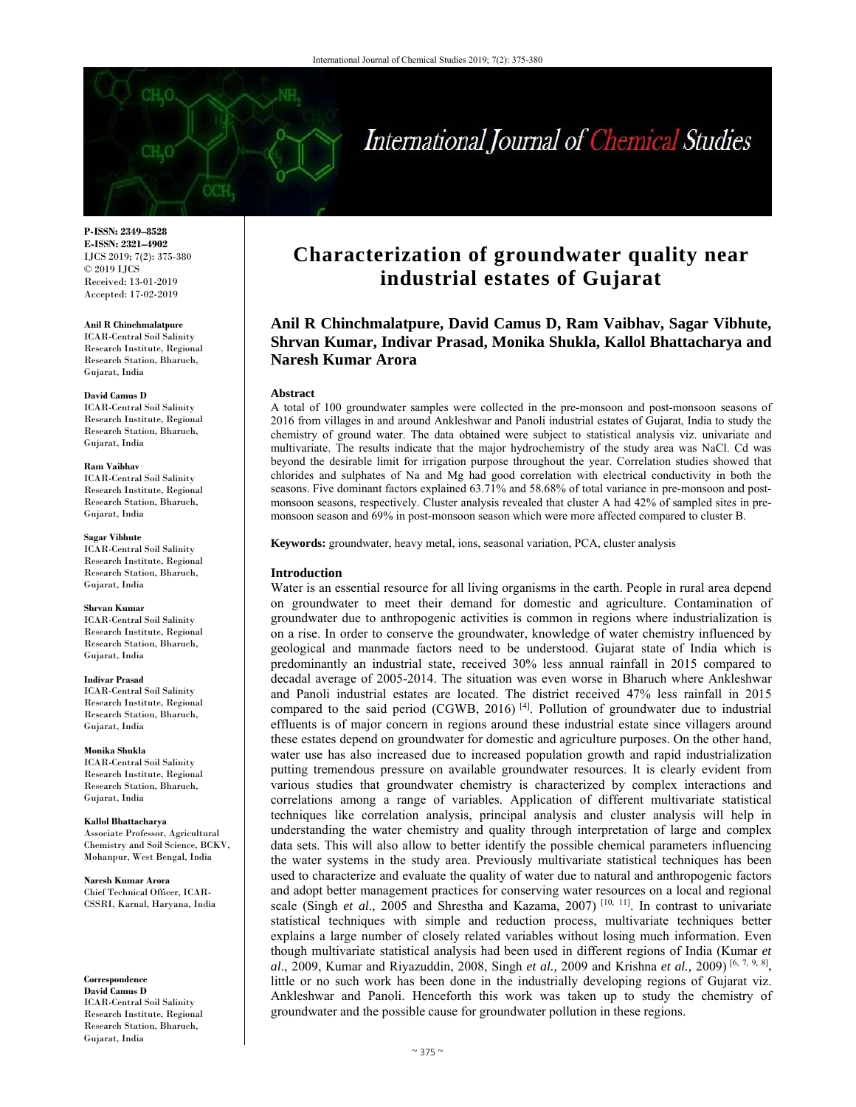

# International Journal of Chemical Studies

**P-ISSN: 2349–8528 E-ISSN: 2321–4902**  IJCS 2019; 7(2): 375-380 © 2019 IJCS Received: 13-01-2019 Accepted: 17-02-2019

#### **Anil R Chinchmalatpure**

ICAR-Central Soil Salinity Research Institute, Regional Research Station, Bharuch, Gujarat, India

#### **David Camus D**

ICAR-Central Soil Salinity Research Institute, Regional Research Station, Bharuch, Gujarat, India

#### **Ram Vaibhav**

ICAR-Central Soil Salinity Research Institute, Regional Research Station, Bharuch, Gujarat, India

#### **Sagar Vibhute**

ICAR-Central Soil Salinity Research Institute, Regional Research Station, Bharuch, Gujarat, India

#### **Shrvan Kumar**

ICAR-Central Soil Salinity Research Institute, Regional Research Station, Bharuch, Gujarat, India

#### **Indivar Prasad**

ICAR-Central Soil Salinity Research Institute, Regional Research Station, Bharuch, Gujarat, India

#### **Monika Shukla**

ICAR-Central Soil Salinity Research Institute, Regional Research Station, Bharuch, Gujarat, India

**Kallol Bhattacharya**  Associate Professor, Agricultural Chemistry and Soil Science, BCKV, Mohanpur, West Bengal, India

**Naresh Kumar Arora**  Chief Technical Officer, ICAR-CSSRI, Karnal, Haryana, India

**Correspondence David Camus D**  ICAR-Central Soil Salinity Research Institute, Regional Research Station, Bharuch, Gujarat, India

# **Characterization of groundwater quality near industrial estates of Gujarat**

**Anil R Chinchmalatpure, David Camus D, Ram Vaibhav, Sagar Vibhute, Shrvan Kumar, Indivar Prasad, Monika Shukla, Kallol Bhattacharya and Naresh Kumar Arora** 

#### **Abstract**

A total of 100 groundwater samples were collected in the pre-monsoon and post-monsoon seasons of 2016 from villages in and around Ankleshwar and Panoli industrial estates of Gujarat, India to study the chemistry of ground water. The data obtained were subject to statistical analysis viz. univariate and multivariate. The results indicate that the major hydrochemistry of the study area was NaCl. Cd was beyond the desirable limit for irrigation purpose throughout the year. Correlation studies showed that chlorides and sulphates of Na and Mg had good correlation with electrical conductivity in both the seasons. Five dominant factors explained 63.71% and 58.68% of total variance in pre-monsoon and postmonsoon seasons, respectively. Cluster analysis revealed that cluster A had 42% of sampled sites in premonsoon season and 69% in post-monsoon season which were more affected compared to cluster B.

**Keywords:** groundwater, heavy metal, ions, seasonal variation, PCA, cluster analysis

# **Introduction**

Water is an essential resource for all living organisms in the earth. People in rural area depend on groundwater to meet their demand for domestic and agriculture. Contamination of groundwater due to anthropogenic activities is common in regions where industrialization is on a rise. In order to conserve the groundwater, knowledge of water chemistry influenced by geological and manmade factors need to be understood. Gujarat state of India which is predominantly an industrial state, received 30% less annual rainfall in 2015 compared to decadal average of 2005-2014. The situation was even worse in Bharuch where Ankleshwar and Panoli industrial estates are located. The district received 47% less rainfall in 2015 compared to the said period (CGWB, 2016)<sup>[4]</sup>. Pollution of groundwater due to industrial effluents is of major concern in regions around these industrial estate since villagers around these estates depend on groundwater for domestic and agriculture purposes. On the other hand, water use has also increased due to increased population growth and rapid industrialization putting tremendous pressure on available groundwater resources. It is clearly evident from various studies that groundwater chemistry is characterized by complex interactions and correlations among a range of variables. Application of different multivariate statistical techniques like correlation analysis, principal analysis and cluster analysis will help in understanding the water chemistry and quality through interpretation of large and complex data sets. This will also allow to better identify the possible chemical parameters influencing the water systems in the study area. Previously multivariate statistical techniques has been used to characterize and evaluate the quality of water due to natural and anthropogenic factors and adopt better management practices for conserving water resources on a local and regional scale (Singh *et al.*, 2005 and Shrestha and Kazama, 2007)<sup>[10, 11]</sub>. In contrast to univariate</sup> statistical techniques with simple and reduction process, multivariate techniques better explains a large number of closely related variables without losing much information. Even though multivariate statistical analysis had been used in different regions of India (Kumar *et al*., 2009, Kumar and Riyazuddin, 2008, Singh *et al.,* 2009 and Krishna *et al.,* 2009) [6, 7, 9, 8], little or no such work has been done in the industrially developing regions of Gujarat viz. Ankleshwar and Panoli. Henceforth this work was taken up to study the chemistry of groundwater and the possible cause for groundwater pollution in these regions.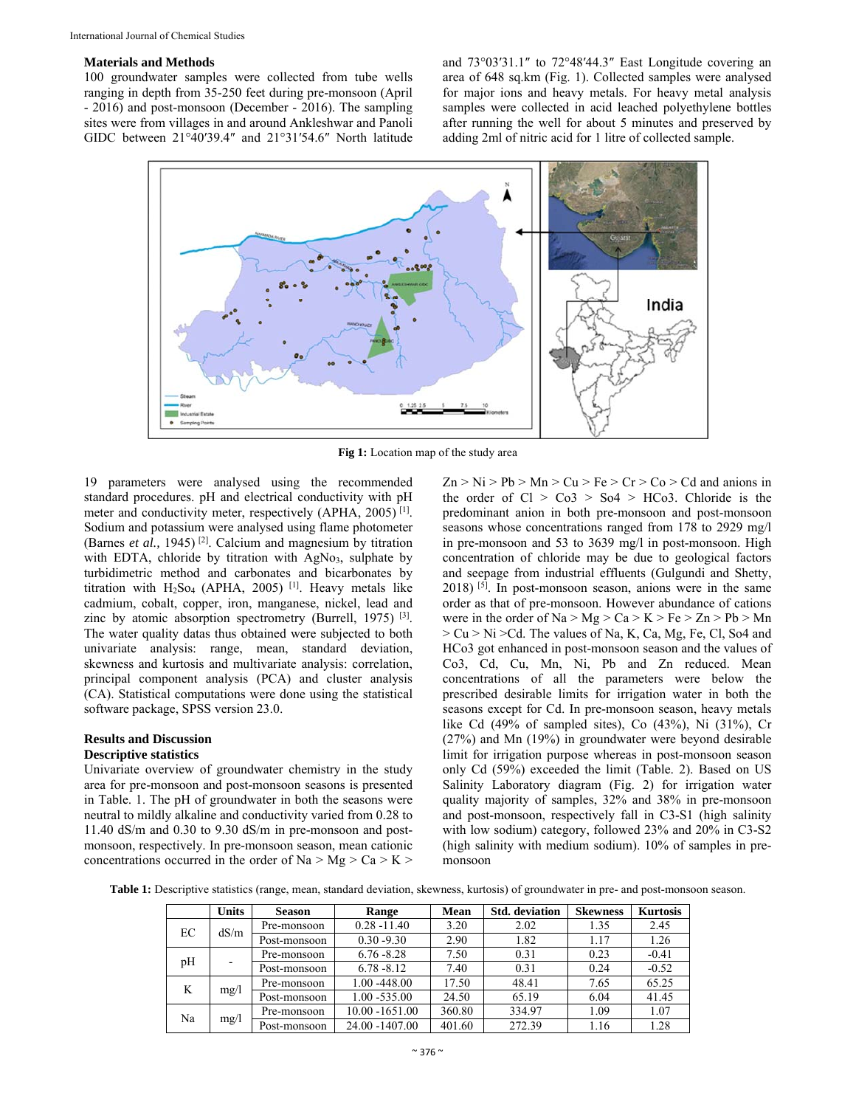# **Materials and Methods**

100 groundwater samples were collected from tube wells ranging in depth from 35-250 feet during pre-monsoon (April - 2016) and post-monsoon (December - 2016). The sampling sites were from villages in and around Ankleshwar and Panoli GIDC between 21°40′39.4″ and 21°31′54.6″ North latitude

and 73°03′31.1″ to 72°48′44.3″ East Longitude covering an area of 648 sq.km (Fig. 1). Collected samples were analysed for major ions and heavy metals. For heavy metal analysis samples were collected in acid leached polyethylene bottles after running the well for about 5 minutes and preserved by adding 2ml of nitric acid for 1 litre of collected sample.



**Fig 1:** Location map of the study area

19 parameters were analysed using the recommended standard procedures. pH and electrical conductivity with pH meter and conductivity meter, respectively (APHA, 2005) [1]. Sodium and potassium were analysed using flame photometer (Barnes *et al.,* 1945) [2]. Calcium and magnesium by titration with EDTA, chloride by titration with  $AgNo<sub>3</sub>$ , sulphate by turbidimetric method and carbonates and bicarbonates by titration with  $H_2$ So<sub>4</sub> (APHA, 2005)<sup>[1]</sup>. Heavy metals like cadmium, cobalt, copper, iron, manganese, nickel, lead and zinc by atomic absorption spectrometry (Burrell, 1975) [3]. The water quality datas thus obtained were subjected to both univariate analysis: range, mean, standard deviation, skewness and kurtosis and multivariate analysis: correlation, principal component analysis (PCA) and cluster analysis (CA). Statistical computations were done using the statistical software package, SPSS version 23.0.

# **Results and Discussion**

# **Descriptive statistics**

Univariate overview of groundwater chemistry in the study area for pre-monsoon and post-monsoon seasons is presented in Table. 1. The pH of groundwater in both the seasons were neutral to mildly alkaline and conductivity varied from 0.28 to 11.40 dS/m and 0.30 to 9.30 dS/m in pre-monsoon and postmonsoon, respectively. In pre-monsoon season, mean cationic concentrations occurred in the order of Na  $>$  Mg  $>$  Ca  $>$  K  $>$ 

 $Zn > Ni > Pb > Mn > Cu > Fe > Cr > Co > Cd$  and anions in the order of  $Cl > Co3 > So4 > HCo3$ . Chloride is the predominant anion in both pre-monsoon and post-monsoon seasons whose concentrations ranged from 178 to 2929 mg/l in pre-monsoon and 53 to 3639 mg/l in post-monsoon. High concentration of chloride may be due to geological factors and seepage from industrial effluents (Gulgundi and Shetty,  $2018$ ) <sup>[5]</sup>. In post-monsoon season, anions were in the same order as that of pre-monsoon. However abundance of cations were in the order of  $Na > Mg > Ca > K > Fe > Zn > Pb > Mn$ > Cu > Ni >Cd. The values of Na, K, Ca, Mg, Fe, Cl, So4 and HCo3 got enhanced in post-monsoon season and the values of Co3, Cd, Cu, Mn, Ni, Pb and Zn reduced. Mean concentrations of all the parameters were below the prescribed desirable limits for irrigation water in both the seasons except for Cd. In pre-monsoon season, heavy metals like Cd  $(49\%$  of sampled sites), Co  $(43\%)$ , Ni  $(31\%)$ , Cr (27%) and Mn (19%) in groundwater were beyond desirable limit for irrigation purpose whereas in post-monsoon season only Cd (59%) exceeded the limit (Table. 2). Based on US Salinity Laboratory diagram (Fig. 2) for irrigation water quality majority of samples, 32% and 38% in pre-monsoon and post-monsoon, respectively fall in C3-S1 (high salinity with low sodium) category, followed 23% and 20% in C3-S2 (high salinity with medium sodium). 10% of samples in premonsoon

**Table 1:** Descriptive statistics (range, mean, standard deviation, skewness, kurtosis) of groundwater in pre- and post-monsoon season.

|         | <b>Units</b> | <b>Season</b> | Range             | Mean   | <b>Std.</b> deviation | <b>Skewness</b> | <b>Kurtosis</b> |
|---------|--------------|---------------|-------------------|--------|-----------------------|-----------------|-----------------|
| EС      | dS/m         | Pre-monsoon   | $0.28 - 11.40$    | 3.20   | 2.02                  | 1.35            | 2.45            |
|         |              | Post-monsoon  | $0.30 - 9.30$     | 2.90   | 1.82                  | 1.17            | 1.26            |
| pH<br>- | Pre-monsoon  | $6.76 - 8.28$ | 7.50              | 0.31   | 0.23                  | $-0.41$         |                 |
|         |              | Post-monsoon  | $6.78 - 8.12$     | 7.40   | 0.31                  | 0.24            | $-0.52$         |
| K       |              | Pre-monsoon   | 1.00 -448.00      | 17.50  | 48.41                 | 7.65            | 65.25           |
|         | mg/1         | Post-monsoon  | $1.00 - 535.00$   | 24.50  | 65.19                 | 6.04            | 41.45           |
| Na      |              | Pre-monsoon   | $10.00 - 1651.00$ | 360.80 | 334.97                | 1.09            | 1.07            |
|         | mg/1         | Post-monsoon  | 24.00 -1407.00    | 401.60 | 272.39                | 1.16            | 1.28            |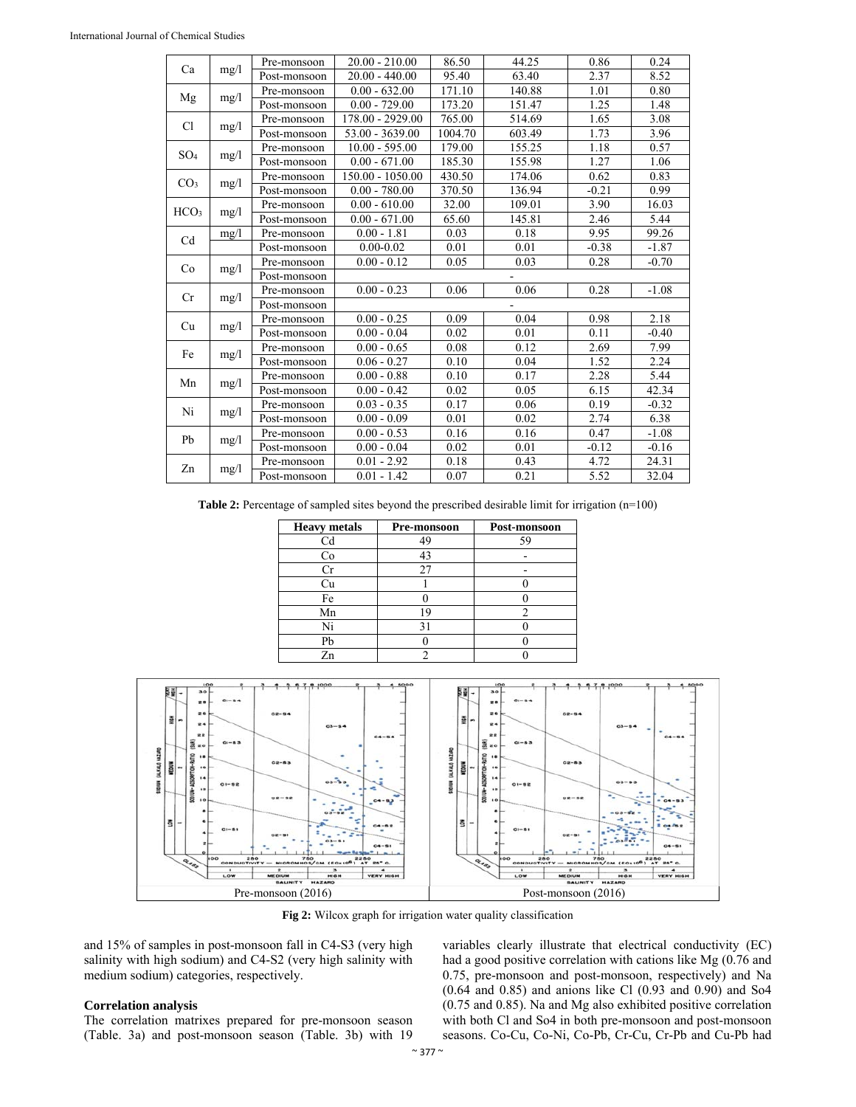|                  |      | Pre-monsoon  | $20.00 - 210.00$   | 86.50   | 44.25  | 0.86    | 0.24                                                                                                                                                                                                                           |
|------------------|------|--------------|--------------------|---------|--------|---------|--------------------------------------------------------------------------------------------------------------------------------------------------------------------------------------------------------------------------------|
| Ca               | mg/1 | Post-monsoon | $20.00 - 440.00$   | 95.40   | 63.40  | 2.37    | 8.52                                                                                                                                                                                                                           |
|                  |      | Pre-monsoon  | $0.00 - 632.00$    | 171.10  | 140.88 | 1.01    | 0.80                                                                                                                                                                                                                           |
| Mg               | mg/1 | Post-monsoon | $0.00 - 729.00$    | 173.20  | 151.47 | 1.25    | 1.48<br>3.08<br>3.96<br>0.57<br>1.06<br>0.83<br>0.99<br>16.03<br>5.44<br>99.26<br>$-1.87$<br>$-0.70$<br>$-1.08$<br>2.18<br>$-0.40$<br>7.99<br>2.24<br>5.44<br>42.34<br>$-0.32$<br>6.38<br>$-1.08$<br>$-0.16$<br>24.31<br>32.04 |
| Cl               |      | Pre-monsoon  | 178.00 - 2929.00   | 765.00  | 514.69 | 1.65    |                                                                                                                                                                                                                                |
|                  | mg/1 | Post-monsoon | 53.00 - 3639.00    | 1004.70 | 603.49 | 1.73    |                                                                                                                                                                                                                                |
| SO <sub>4</sub>  |      | Pre-monsoon  | $10.00 - 595.00$   | 179.00  | 155.25 | 1.18    |                                                                                                                                                                                                                                |
|                  | mg/1 | Post-monsoon | $0.00 - 671.00$    | 185.30  | 155.98 | 1.27    |                                                                                                                                                                                                                                |
|                  |      | Pre-monsoon  | $150.00 - 1050.00$ | 430.50  | 174.06 | 0.62    |                                                                                                                                                                                                                                |
| CO <sub>3</sub>  | mg/1 | Post-monsoon | $0.00 - 780.00$    | 370.50  | 136.94 | $-0.21$ |                                                                                                                                                                                                                                |
|                  |      | Pre-monsoon  | $0.00 - 610.00$    | 32.00   | 109.01 | 3.90    |                                                                                                                                                                                                                                |
| HCO <sub>3</sub> | mg/1 | Post-monsoon | $0.00 - 671.00$    | 65.60   | 145.81 | 2.46    |                                                                                                                                                                                                                                |
|                  | mg/1 | Pre-monsoon  | $0.00 - 1.81$      | 0.03    | 0.18   | 9.95    |                                                                                                                                                                                                                                |
| Cd               |      | Post-monsoon | $0.00 - 0.02$      | 0.01    | 0.01   | $-0.38$ |                                                                                                                                                                                                                                |
|                  |      | Pre-monsoon  | $0.00 - 0.12$      | 0.05    | 0.03   | 0.28    |                                                                                                                                                                                                                                |
| Co               | mg/1 | Post-monsoon |                    |         |        |         |                                                                                                                                                                                                                                |
|                  |      | Pre-monsoon  | $0.00 - 0.23$      | 0.06    | 0.06   | 0.28    |                                                                                                                                                                                                                                |
| Cr               | mg/1 | Post-monsoon |                    |         |        |         |                                                                                                                                                                                                                                |
|                  |      | Pre-monsoon  | $0.00 - 0.25$      | 0.09    | 0.04   | 0.98    |                                                                                                                                                                                                                                |
| Cu               | mg/1 | Post-monsoon | $0.00 - 0.04$      | 0.02    | 0.01   | 0.11    |                                                                                                                                                                                                                                |
| Fe               |      | Pre-monsoon  | $0.00 - 0.65$      | 0.08    | 0.12   | 2.69    |                                                                                                                                                                                                                                |
|                  | mg/1 | Post-monsoon | $0.06 - 0.27$      | 0.10    | 0.04   | 1.52    |                                                                                                                                                                                                                                |
| Mn               |      | Pre-monsoon  | $0.00 - 0.88$      | 0.10    | 0.17   | 2.28    |                                                                                                                                                                                                                                |
|                  | mg/1 | Post-monsoon | $0.00 - 0.42$      | 0.02    | 0.05   | 6.15    |                                                                                                                                                                                                                                |
| Ni               |      | Pre-monsoon  | $0.03 - 0.35$      | 0.17    | 0.06   | 0.19    |                                                                                                                                                                                                                                |
|                  | mg/1 | Post-monsoon | $0.00 - 0.09$      | 0.01    | 0.02   | 2.74    |                                                                                                                                                                                                                                |
| Pb               |      | Pre-monsoon  | $0.00 - 0.53$      | 0.16    | 0.16   | 0.47    |                                                                                                                                                                                                                                |
|                  | mg/1 | Post-monsoon | $0.00 - 0.04$      | 0.02    | 0.01   | $-0.12$ |                                                                                                                                                                                                                                |
|                  |      | Pre-monsoon  | $0.01 - 2.92$      | 0.18    | 0.43   | 4.72    |                                                                                                                                                                                                                                |
| Zn               | mg/1 | Post-monsoon | $0.01 - 1.42$      | 0.07    | 0.21   | 5.52    |                                                                                                                                                                                                                                |

Table 2: Percentage of sampled sites beyond the prescribed desirable limit for irrigation (n=100)

| <b>Heavy</b> metals | Pre-monsoon | Post-monsoon |
|---------------------|-------------|--------------|
| Cd                  | 49          | ٢q           |
| Co                  | 43          |              |
|                     | 27          |              |
| Сu                  |             |              |
| Fe                  |             |              |
| Mn                  | ١q          |              |
| Ni                  |             |              |
| Pb                  |             |              |
| Zn                  |             |              |



**Fig 2:** Wilcox graph for irrigation water quality classification

and 15% of samples in post-monsoon fall in C4-S3 (very high salinity with high sodium) and C4-S2 (very high salinity with medium sodium) categories, respectively.

#### **Correlation analysis**

The correlation matrixes prepared for pre-monsoon season (Table. 3a) and post-monsoon season (Table. 3b) with 19

variables clearly illustrate that electrical conductivity (EC) had a good positive correlation with cations like Mg (0.76 and 0.75, pre-monsoon and post-monsoon, respectively) and Na (0.64 and 0.85) and anions like Cl (0.93 and 0.90) and So4 (0.75 and 0.85). Na and Mg also exhibited positive correlation with both Cl and So4 in both pre-monsoon and post-monsoon seasons. Co-Cu, Co-Ni, Co-Pb, Cr-Cu, Cr-Pb and Cu-Pb had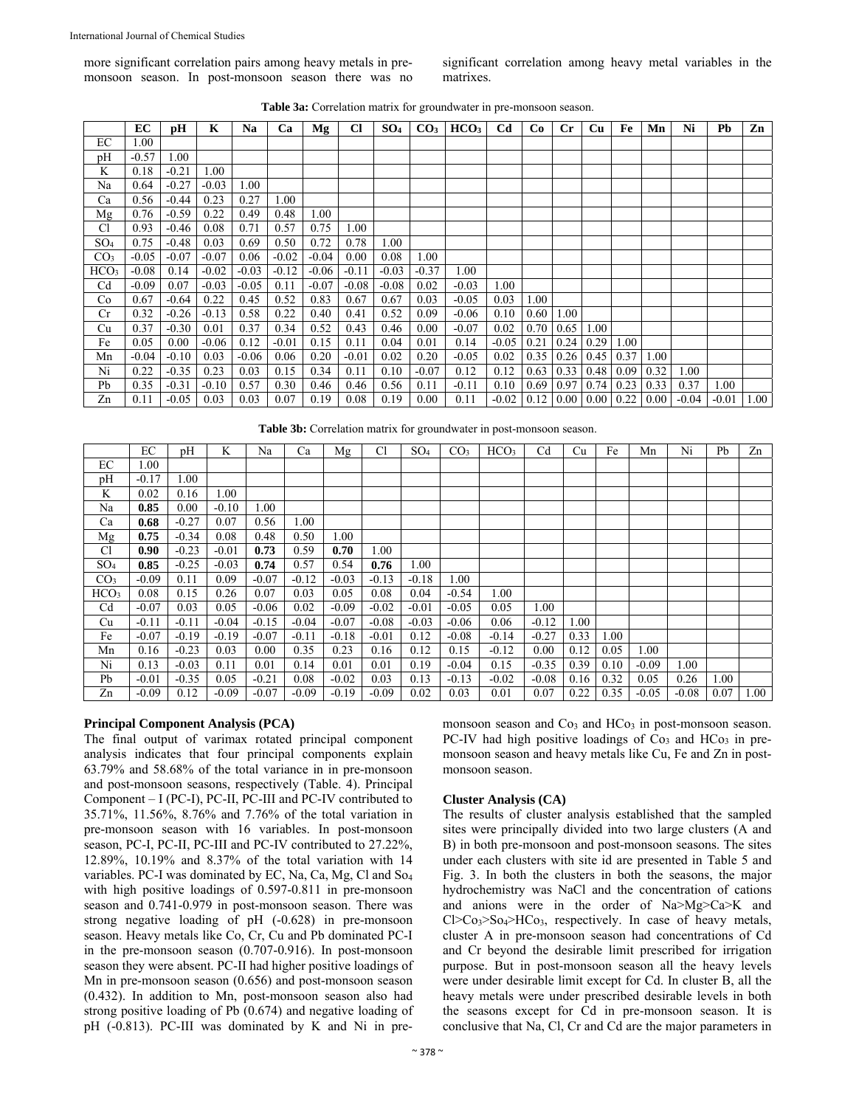more significant correlation pairs among heavy metals in premonsoon season. In post-monsoon season there was no significant correlation among heavy metal variables in the matrixes.

|  |  |  | <b>Table 3a:</b> Correlation matrix for groundwater in pre-monsoon season. |
|--|--|--|----------------------------------------------------------------------------|
|--|--|--|----------------------------------------------------------------------------|

|                  | EС      | pН      | K       | Na      | Ca      | Mg      | Cl      | SO <sub>4</sub> | CO <sub>3</sub> | HCO <sub>3</sub> | C <sub>d</sub> | Co   | $_{\rm Cr}$         | <b>Cu</b> | Fe            | Mn   | Ni      | Pb      | Zn   |
|------------------|---------|---------|---------|---------|---------|---------|---------|-----------------|-----------------|------------------|----------------|------|---------------------|-----------|---------------|------|---------|---------|------|
| EС               | 00.1    |         |         |         |         |         |         |                 |                 |                  |                |      |                     |           |               |      |         |         |      |
| pH               | $-0.57$ | 1.00    |         |         |         |         |         |                 |                 |                  |                |      |                     |           |               |      |         |         |      |
| K                | 0.18    | $-0.21$ | 1.00    |         |         |         |         |                 |                 |                  |                |      |                     |           |               |      |         |         |      |
| Na               | 0.64    | $-0.27$ | $-0.03$ | 1.00    |         |         |         |                 |                 |                  |                |      |                     |           |               |      |         |         |      |
| Ca               | 0.56    | $-0.44$ | 0.23    | 0.27    | 1.00    |         |         |                 |                 |                  |                |      |                     |           |               |      |         |         |      |
| Mg               | 0.76    | $-0.59$ | 0.22    | 0.49    | 0.48    | 1.00    |         |                 |                 |                  |                |      |                     |           |               |      |         |         |      |
| C1               | 0.93    | $-0.46$ | 0.08    | 0.71    | 0.57    | 0.75    | 1.00    |                 |                 |                  |                |      |                     |           |               |      |         |         |      |
| SO <sub>4</sub>  | 0.75    | $-0.48$ | 0.03    | 0.69    | 0.50    | 0.72    | 0.78    | $1.00\,$        |                 |                  |                |      |                     |           |               |      |         |         |      |
| CO <sub>3</sub>  | $-0.05$ | $-0.07$ | $-0.07$ | 0.06    | $-0.02$ | $-0.04$ | 0.00    | 0.08            | 1.00            |                  |                |      |                     |           |               |      |         |         |      |
| HCO <sub>3</sub> | $-0.08$ | 0.14    | $-0.02$ | $-0.03$ | $-0.12$ | $-0.06$ | $-0.11$ | $-0.03$         | $-0.37$         | 1.00             |                |      |                     |           |               |      |         |         |      |
| Cd               | $-0.09$ | 0.07    | $-0.03$ | $-0.05$ | 0.11    | $-0.07$ | $-0.08$ | $-0.08$         | 0.02            | $-0.03$          | 1.00           |      |                     |           |               |      |         |         |      |
| Co               | 0.67    | $-0.64$ | 0.22    | 0.45    | 0.52    | 0.83    | 0.67    | 0.67            | 0.03            | $-0.05$          | 0.03           | 1.00 |                     |           |               |      |         |         |      |
| Cr               | 0.32    | $-0.26$ | $-0.13$ | 0.58    | 0.22    | 0.40    | 0.41    | 0.52            | 0.09            | $-0.06$          | 0.10           | 0.60 | 1.00                |           |               |      |         |         |      |
| Cu               | 0.37    | $-0.30$ | 0.01    | 0.37    | 0.34    | 0.52    | 0.43    | 0.46            | 0.00            | $-0.07$          | 0.02           | 0.70 | 0.65                | 1.00      |               |      |         |         |      |
| Fe               | 0.05    | 0.00    | $-0.06$ | 0.12    | $-0.01$ | 0.15    | 0.11    | 0.04            | 0.01            | 0.14             | $-0.05$        | 0.21 | 0.24                | 0.29      | 1.00          |      |         |         |      |
| Mn               | $-0.04$ | $-0.10$ | 0.03    | $-0.06$ | 0.06    | 0.20    | $-0.01$ | 0.02            | 0.20            | $-0.05$          | 0.02           | 0.35 | 0.26                | 0.45      | 0.37          | 1.00 |         |         |      |
| Ni               | 0.22    | $-0.35$ | 0.23    | 0.03    | 0.15    | 0.34    | 0.11    | 0.10            | $-0.07$         | 0.12             | 0.12           | 0.63 | 0.33                | 0.48      | 0.09          | 0.32 | 1.00    |         |      |
| Pb               | 0.35    | $-0.31$ | $-0.10$ | 0.57    | 0.30    | 0.46    | 0.46    | 0.56            | 0.11            | $-0.11$          | 0.10           | 0.69 | 0.97                | 0.74      | 0.23          | 0.33 | 0.37    | 1.00    |      |
| Zn               | 0.11    | $-0.05$ | 0.03    | 0.03    | 0.07    | 0.19    | 0.08    | 0.19            | 0.00            | 0.11             | $-0.02$        | 0.12 | $0.00 \,   \, 0.00$ |           | $0.22 \ 0.00$ |      | $-0.04$ | $-0.01$ | 1.00 |

**Table 3b:** Correlation matrix for groundwater in post-monsoon season.

|                  | EС      | pН      | K       | Na       | Ca      | Mg      | Cl      | SO <sub>4</sub> | CO <sub>3</sub> | HCO <sub>3</sub> | Cd      | Cu   | Fe   | Mn      | Ni       | Pb   | Zn   |
|------------------|---------|---------|---------|----------|---------|---------|---------|-----------------|-----------------|------------------|---------|------|------|---------|----------|------|------|
| EС               | 1.00    |         |         |          |         |         |         |                 |                 |                  |         |      |      |         |          |      |      |
| pH               | $-0.17$ | 00.1    |         |          |         |         |         |                 |                 |                  |         |      |      |         |          |      |      |
| K                | 0.02    | 0.16    | 1.00    |          |         |         |         |                 |                 |                  |         |      |      |         |          |      |      |
| Na               | 0.85    | 0.00    | $-0.10$ | $1.00\,$ |         |         |         |                 |                 |                  |         |      |      |         |          |      |      |
| Ca               | 0.68    | $-0.27$ | 0.07    | 0.56     | 1.00    |         |         |                 |                 |                  |         |      |      |         |          |      |      |
| Mg               | 0.75    | $-0.34$ | 0.08    | 0.48     | 0.50    | 1.00    |         |                 |                 |                  |         |      |      |         |          |      |      |
| C <sub>1</sub>   | 0.90    | $-0.23$ | $-0.01$ | 0.73     | 0.59    | 0.70    | 1.00    |                 |                 |                  |         |      |      |         |          |      |      |
| SO <sub>4</sub>  | 0.85    | $-0.25$ | $-0.03$ | 0.74     | 0.57    | 0.54    | 0.76    | 1.00            |                 |                  |         |      |      |         |          |      |      |
| CO <sub>3</sub>  | $-0.09$ | 0.11    | 0.09    | $-0.07$  | $-0.12$ | $-0.03$ | $-0.13$ | $-0.18$         | 1.00            |                  |         |      |      |         |          |      |      |
| HCO <sub>3</sub> | 0.08    | 0.15    | 0.26    | 0.07     | 0.03    | 0.05    | 0.08    | 0.04            | $-0.54$         | 0.00             |         |      |      |         |          |      |      |
| Cd               | $-0.07$ | 0.03    | 0.05    | $-0.06$  | 0.02    | $-0.09$ | $-0.02$ | $-0.01$         | $-0.05$         | 0.05             | 1.00    |      |      |         |          |      |      |
| Cu               | $-0.11$ | $-0.11$ | $-0.04$ | $-0.15$  | $-0.04$ | $-0.07$ | $-0.08$ | $-0.03$         | $-0.06$         | 0.06             | $-0.12$ | 1.00 |      |         |          |      |      |
| Fe               | $-0.07$ | $-0.19$ | $-0.19$ | $-0.07$  | $-0.11$ | $-0.18$ | $-0.01$ | 0.12            | $-0.08$         | $-0.14$          | $-0.27$ | 0.33 | 1.00 |         |          |      |      |
| Mn               | 0.16    | $-0.23$ | 0.03    | 0.00     | 0.35    | 0.23    | 0.16    | 0.12            | 0.15            | $-0.12$          | 0.00    | 0.12 | 0.05 | 1.00    |          |      |      |
| Ni               | 0.13    | $-0.03$ | 0.11    | 0.01     | 0.14    | 0.01    | 0.01    | 0.19            | $-0.04$         | 0.15             | $-0.35$ | 0.39 | 0.10 | $-0.09$ | $1.00\,$ |      |      |
| Pb               | $-0.01$ | $-0.35$ | 0.05    | $-0.21$  | 0.08    | $-0.02$ | 0.03    | 0.13            | $-0.13$         | $-0.02$          | $-0.08$ | 0.16 | 0.32 | 0.05    | 0.26     | 0.01 |      |
| Zn               | $-0.09$ | 0.12    | $-0.09$ | $-0.07$  | $-0.09$ | $-0.19$ | $-0.09$ | 0.02            | 0.03            | 0.01             | 0.07    | 0.22 | 0.35 | $-0.05$ | $-0.08$  | 0.07 | 1.00 |

# **Principal Component Analysis (PCA)**

The final output of varimax rotated principal component analysis indicates that four principal components explain 63.79% and 58.68% of the total variance in in pre-monsoon and post-monsoon seasons, respectively (Table. 4). Principal Component – I (PC-I), PC-II, PC-III and PC-IV contributed to 35.71%, 11.56%, 8.76% and 7.76% of the total variation in pre-monsoon season with 16 variables. In post-monsoon season, PC-I, PC-II, PC-III and PC-IV contributed to 27.22%, 12.89%, 10.19% and 8.37% of the total variation with 14 variables. PC-I was dominated by EC, Na, Ca, Mg, Cl and So4 with high positive loadings of 0.597-0.811 in pre-monsoon season and 0.741-0.979 in post-monsoon season. There was strong negative loading of pH (-0.628) in pre-monsoon season. Heavy metals like Co, Cr, Cu and Pb dominated PC-I in the pre-monsoon season (0.707-0.916). In post-monsoon season they were absent. PC-II had higher positive loadings of Mn in pre-monsoon season (0.656) and post-monsoon season (0.432). In addition to Mn, post-monsoon season also had strong positive loading of Pb (0.674) and negative loading of pH (-0.813). PC-III was dominated by K and Ni in premonsoon season and  $Co<sub>3</sub>$  and  $HCo<sub>3</sub>$  in post-monsoon season. PC-IV had high positive loadings of Co<sub>3</sub> and HCo<sub>3</sub> in premonsoon season and heavy metals like Cu, Fe and Zn in postmonsoon season.

# **Cluster Analysis (CA)**

The results of cluster analysis established that the sampled sites were principally divided into two large clusters (A and B) in both pre-monsoon and post-monsoon seasons. The sites under each clusters with site id are presented in Table 5 and Fig. 3. In both the clusters in both the seasons, the major hydrochemistry was NaCl and the concentration of cations and anions were in the order of Na>Mg>Ca>K and  $Cl > Co<sub>3</sub> > SO<sub>4</sub> > HCo<sub>3</sub>$ , respectively. In case of heavy metals, cluster A in pre-monsoon season had concentrations of Cd and Cr beyond the desirable limit prescribed for irrigation purpose. But in post-monsoon season all the heavy levels were under desirable limit except for Cd. In cluster B, all the heavy metals were under prescribed desirable levels in both the seasons except for Cd in pre-monsoon season. It is conclusive that Na, Cl, Cr and Cd are the major parameters in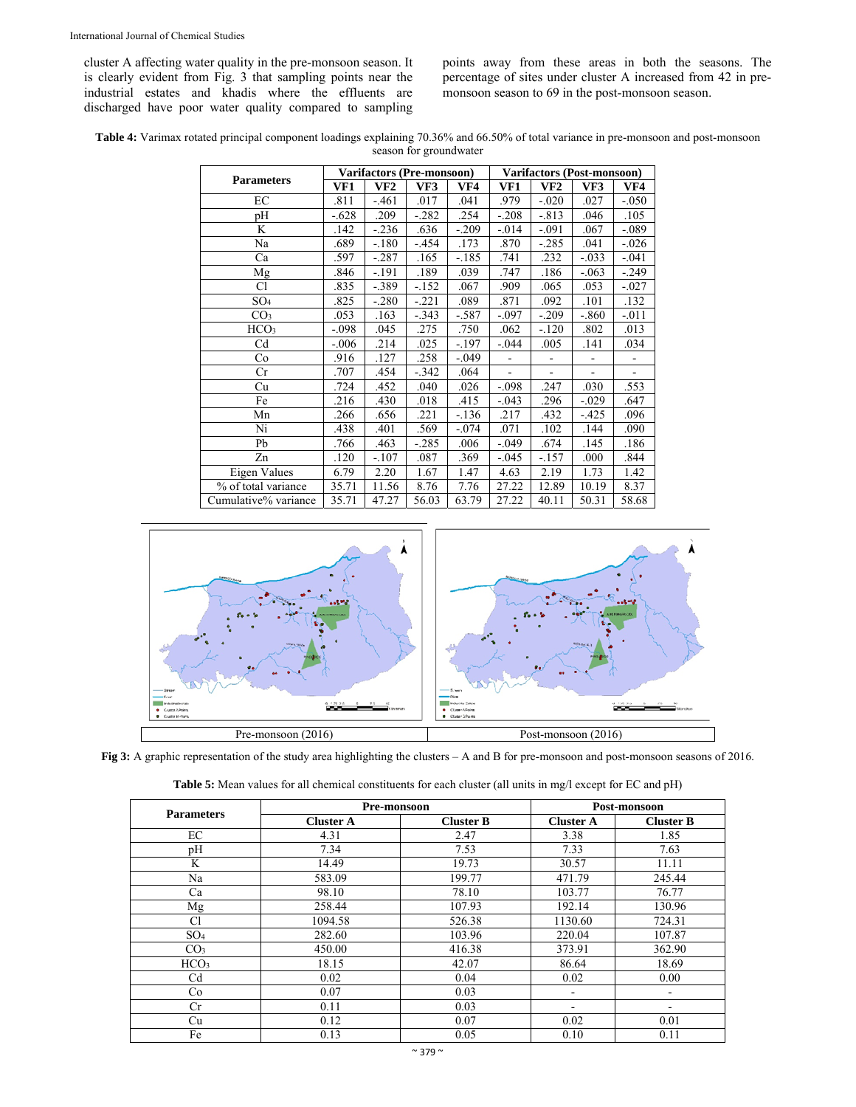cluster A affecting water quality in the pre-monsoon season. It is clearly evident from Fig. 3 that sampling points near the industrial estates and khadis where the effluents are discharged have poor water quality compared to sampling points away from these areas in both the seasons. The percentage of sites under cluster A increased from 42 in premonsoon season to 69 in the post-monsoon season.

**Table 4:** Varimax rotated principal component loadings explaining 70.36% and 66.50% of total variance in pre-monsoon and post-monsoon season for groundwater

|                      |         |          | <b>Varifactors (Pre-monsoon)</b> |          |                |         | <b>Varifactors (Post-monsoon)</b><br>VF3<br>VF4<br>.027<br>$-.050$<br>.046<br>.105<br>$-.089$<br>.067 |         |  |  |  |
|----------------------|---------|----------|----------------------------------|----------|----------------|---------|-------------------------------------------------------------------------------------------------------|---------|--|--|--|
| <b>Parameters</b>    | VF1     | VF2      | VF3                              | VF4      | VF1            | VF2     |                                                                                                       |         |  |  |  |
| EC                   | .811    | $-.461$  | .017                             | .041     | .979           | $-.020$ |                                                                                                       |         |  |  |  |
| pН                   | $-.628$ | .209     | $-.282$                          | .254     | $-.208$        | $-.813$ |                                                                                                       |         |  |  |  |
| K                    | .142    | $-0.236$ | .636                             | $-.209$  | $-.014$        | $-.091$ |                                                                                                       |         |  |  |  |
| Na                   | .689    | $-.180$  | $-.454$                          | .173     | .870           | $-.285$ | .041                                                                                                  | $-.026$ |  |  |  |
| Ca                   | .597    | $-.287$  | .165                             | -.185    | .741           | .232    | $-.033$                                                                                               | $-.041$ |  |  |  |
| Mg                   | .846    | $-191$   | .189                             | .039     | .747           | .186    | $-.063$                                                                                               | $-.249$ |  |  |  |
| C1                   | .835    | $-389$   | $-152$                           | .067     | .909           | .065    | .053                                                                                                  | $-.027$ |  |  |  |
| SO <sub>4</sub>      | .825    | $-.280$  | $-.221$                          | .089     | .871           | .092    | .101                                                                                                  | .132    |  |  |  |
| CO <sub>3</sub>      | .053    | .163     | $-.343$                          | -.587    | $-.097$        | $-.209$ | $-.860$                                                                                               | $-.011$ |  |  |  |
| HCO <sub>3</sub>     | $-.098$ | .045     | .275                             | .750     | .062           | $-.120$ | .802                                                                                                  | .013    |  |  |  |
| Cd                   | $-.006$ | .214     | .025                             | $-197$   | $-.044$        | .005    | .141                                                                                                  | .034    |  |  |  |
| Co                   | .916    | .127     | .258                             | $-0.049$ |                | ÷,      | ۰                                                                                                     |         |  |  |  |
| Cr                   | .707    | .454     | $-.342$                          | .064     | $\blacksquare$ | ÷,      | $\overline{a}$                                                                                        |         |  |  |  |
| Cu                   | .724    | .452     | .040                             | .026     | $-.098$        | .247    | .030                                                                                                  | .553    |  |  |  |
| Fe                   | .216    | .430     | .018                             | .415     | $-.043$        | .296    | $-.029$                                                                                               | .647    |  |  |  |
| Mn                   | .266    | .656     | .221                             | $-.136$  | .217           | .432    | $-.425$                                                                                               | .096    |  |  |  |
| Ni                   | .438    | .401     | .569                             | $-.074$  | .071           | .102    | .144                                                                                                  | .090    |  |  |  |
| Pb                   | .766    | .463     | $-.285$                          | .006     | $-.049$        | .674    | .145                                                                                                  | .186    |  |  |  |
| Zn                   | .120    | $-.107$  | .087                             | .369     | $-.045$        | $-.157$ | .000                                                                                                  | .844    |  |  |  |
| Eigen Values         | 6.79    | 2.20     | 1.67                             | 1.47     | 4.63           | 2.19    | 1.73                                                                                                  | 1.42    |  |  |  |
| % of total variance  | 35.71   | 11.56    | 8.76                             | 7.76     | 27.22          | 12.89   | 10.19                                                                                                 | 8.37    |  |  |  |
| Cumulative% variance | 35.71   | 47.27    | 56.03                            | 63.79    | 27.22          | 40.11   | 50.31                                                                                                 | 58.68   |  |  |  |



**Fig 3:** A graphic representation of the study area highlighting the clusters – A and B for pre-monsoon and post-monsoon seasons of 2016.

| <b>Parameters</b> | Pre-monsoon      |                  | Post-monsoon     |                  |  |  |  |
|-------------------|------------------|------------------|------------------|------------------|--|--|--|
|                   | <b>Cluster A</b> | <b>Cluster B</b> | <b>Cluster A</b> | <b>Cluster B</b> |  |  |  |
| EC                | 4.31             | 2.47             | 3.38             | 1.85             |  |  |  |
| pH                | 7.34             | 7.53             | 7.33             | 7.63             |  |  |  |
| K                 | 14.49            | 19.73            | 30.57            | 11.11            |  |  |  |
| Na                | 583.09           | 199.77           | 471.79           | 245.44           |  |  |  |
| Ca                | 98.10            | 78.10            | 103.77           | 76.77            |  |  |  |
| Mg                | 258.44           | 107.93           | 192.14           | 130.96           |  |  |  |
| Cl                | 1094.58          | 526.38           | 1130.60          | 724.31           |  |  |  |
| SO <sub>4</sub>   | 282.60           | 103.96           | 220.04           | 107.87           |  |  |  |
| CO <sub>3</sub>   | 450.00           | 416.38           | 373.91           | 362.90           |  |  |  |
| HCO <sub>3</sub>  | 18.15            | 42.07            | 86.64            | 18.69            |  |  |  |
| C <sub>d</sub>    | 0.02             | 0.04             | 0.02             | 0.00             |  |  |  |
| Co                | 0.07             | 0.03             |                  | ۰                |  |  |  |
| Cr                | 0.11             | 0.03             | -                | ۰                |  |  |  |
| Cu                | 0.12             | 0.07             | 0.02             | 0.01             |  |  |  |
| Fe                | 0.13             | 0.05             | 0.10             | 0.11             |  |  |  |

| Table 5: Mean values for all chemical constituents for each cluster (all units in mg/l except for EC and pH) |  |
|--------------------------------------------------------------------------------------------------------------|--|
|--------------------------------------------------------------------------------------------------------------|--|